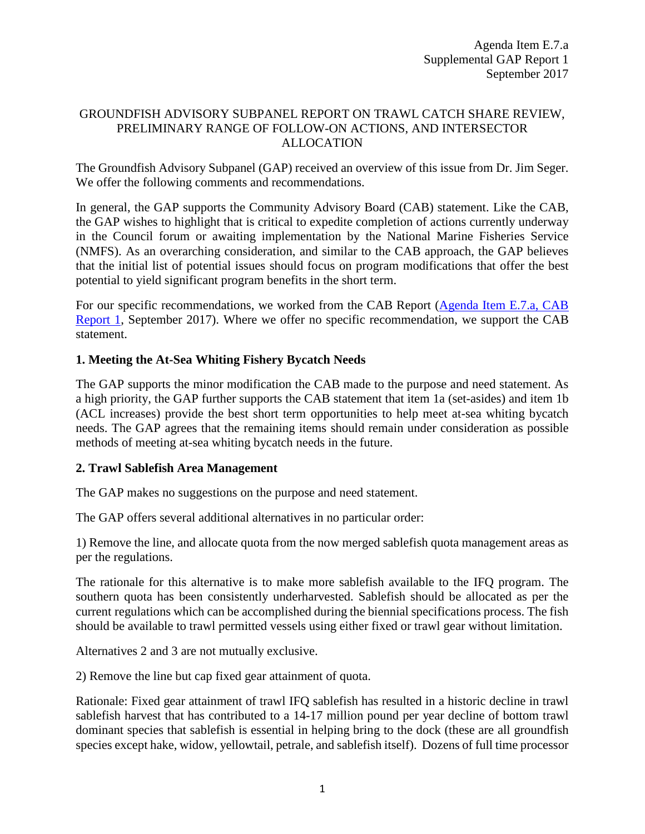### GROUNDFISH ADVISORY SUBPANEL REPORT ON TRAWL CATCH SHARE REVIEW, PRELIMINARY RANGE OF FOLLOW-ON ACTIONS, AND INTERSECTOR ALLOCATION

The Groundfish Advisory Subpanel (GAP) received an overview of this issue from Dr. Jim Seger. We offer the following comments and recommendations.

In general, the GAP supports the Community Advisory Board (CAB) statement. Like the CAB, the GAP wishes to highlight that is critical to expedite completion of actions currently underway in the Council forum or awaiting implementation by the National Marine Fisheries Service (NMFS). As an overarching consideration, and similar to the CAB approach, the GAP believes that the initial list of potential issues should focus on program modifications that offer the best potential to yield significant program benefits in the short term.

For our specific recommendations, we worked from the CAB Report [\(Agenda Item E.7.a, CAB](http://www.pcouncil.org/wp-content/uploads/2017/08/E7a_CAB_Rpt1_SEPT2017BB.pdf)  [Report 1,](http://www.pcouncil.org/wp-content/uploads/2017/08/E7a_CAB_Rpt1_SEPT2017BB.pdf) September 2017). Where we offer no specific recommendation, we support the CAB statement.

### **1. Meeting the At-Sea Whiting Fishery Bycatch Needs**

The GAP supports the minor modification the CAB made to the purpose and need statement. As a high priority, the GAP further supports the CAB statement that item 1a (set-asides) and item 1b (ACL increases) provide the best short term opportunities to help meet at-sea whiting bycatch needs. The GAP agrees that the remaining items should remain under consideration as possible methods of meeting at-sea whiting bycatch needs in the future.

### **2. Trawl Sablefish Area Management**

The GAP makes no suggestions on the purpose and need statement.

The GAP offers several additional alternatives in no particular order:

1) Remove the line, and allocate quota from the now merged sablefish quota management areas as per the regulations.

The rationale for this alternative is to make more sablefish available to the IFQ program. The southern quota has been consistently underharvested. Sablefish should be allocated as per the current regulations which can be accomplished during the biennial specifications process. The fish should be available to trawl permitted vessels using either fixed or trawl gear without limitation.

Alternatives 2 and 3 are not mutually exclusive.

2) Remove the line but cap fixed gear attainment of quota.

Rationale: Fixed gear attainment of trawl IFQ sablefish has resulted in a historic decline in trawl sablefish harvest that has contributed to a 14-17 million pound per year decline of bottom trawl dominant species that sablefish is essential in helping bring to the dock (these are all groundfish species except hake, widow, yellowtail, petrale, and sablefish itself). Dozens of full time processor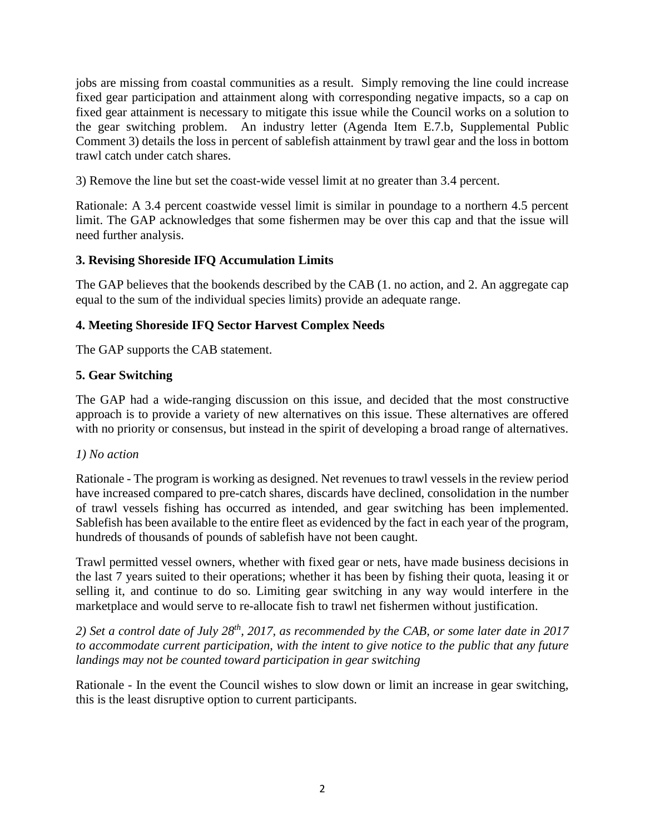jobs are missing from coastal communities as a result. Simply removing the line could increase fixed gear participation and attainment along with corresponding negative impacts, so a cap on fixed gear attainment is necessary to mitigate this issue while the Council works on a solution to the gear switching problem. An industry letter (Agenda Item E.7.b, Supplemental Public Comment 3) details the loss in percent of sablefish attainment by trawl gear and the loss in bottom trawl catch under catch shares.

3) Remove the line but set the coast-wide vessel limit at no greater than 3.4 percent.

Rationale: A 3.4 percent coastwide vessel limit is similar in poundage to a northern 4.5 percent limit. The GAP acknowledges that some fishermen may be over this cap and that the issue will need further analysis.

# **3. Revising Shoreside IFQ Accumulation Limits**

The GAP believes that the bookends described by the CAB (1. no action, and 2. An aggregate cap equal to the sum of the individual species limits) provide an adequate range.

# **4. Meeting Shoreside IFQ Sector Harvest Complex Needs**

The GAP supports the CAB statement.

# **5. Gear Switching**

The GAP had a wide-ranging discussion on this issue, and decided that the most constructive approach is to provide a variety of new alternatives on this issue. These alternatives are offered with no priority or consensus, but instead in the spirit of developing a broad range of alternatives.

### *1) No action*

Rationale - The program is working as designed. Net revenues to trawl vessels in the review period have increased compared to pre-catch shares, discards have declined, consolidation in the number of trawl vessels fishing has occurred as intended, and gear switching has been implemented. Sablefish has been available to the entire fleet as evidenced by the fact in each year of the program, hundreds of thousands of pounds of sablefish have not been caught.

Trawl permitted vessel owners, whether with fixed gear or nets, have made business decisions in the last 7 years suited to their operations; whether it has been by fishing their quota, leasing it or selling it, and continue to do so. Limiting gear switching in any way would interfere in the marketplace and would serve to re-allocate fish to trawl net fishermen without justification.

*2) Set a control date of July 28th, 2017, as recommended by the CAB, or some later date in 2017 to accommodate current participation, with the intent to give notice to the public that any future landings may not be counted toward participation in gear switching*

Rationale - In the event the Council wishes to slow down or limit an increase in gear switching, this is the least disruptive option to current participants.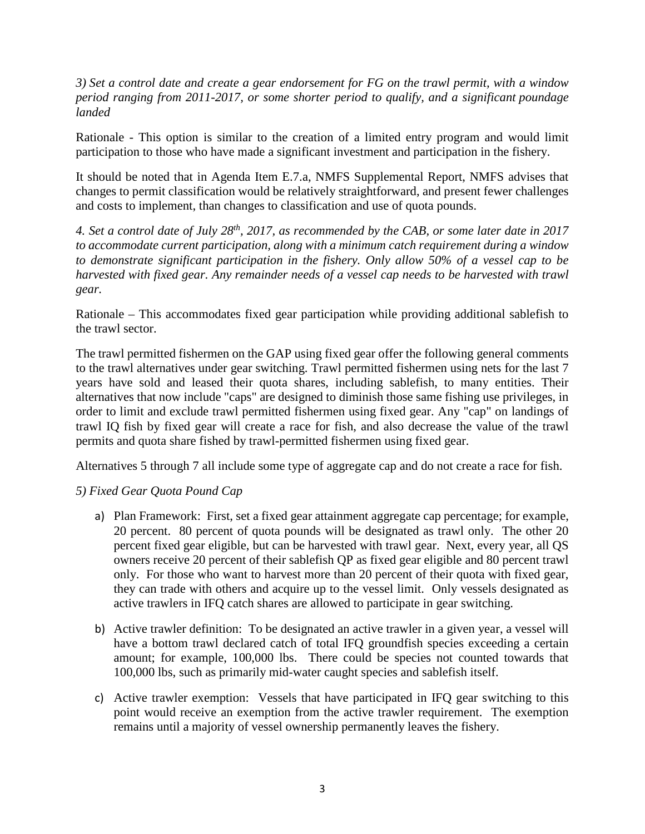*3) Set a control date and create a gear endorsement for FG on the trawl permit, with a window period ranging from 2011-2017, or some shorter period to qualify, and a significant poundage landed*

Rationale - This option is similar to the creation of a limited entry program and would limit participation to those who have made a significant investment and participation in the fishery.

It should be noted that in Agenda Item E.7.a, NMFS Supplemental Report, NMFS advises that changes to permit classification would be relatively straightforward, and present fewer challenges and costs to implement, than changes to classification and use of quota pounds.

*4. Set a control date of July 28th, 2017, as recommended by the CAB, or some later date in 2017 to accommodate current participation, along with a minimum catch requirement during a window to demonstrate significant participation in the fishery. Only allow 50% of a vessel cap to be harvested with fixed gear. Any remainder needs of a vessel cap needs to be harvested with trawl gear.* 

Rationale – This accommodates fixed gear participation while providing additional sablefish to the trawl sector.

The trawl permitted fishermen on the GAP using fixed gear offer the following general comments to the trawl alternatives under gear switching. Trawl permitted fishermen using nets for the last 7 years have sold and leased their quota shares, including sablefish, to many entities. Their alternatives that now include "caps" are designed to diminish those same fishing use privileges, in order to limit and exclude trawl permitted fishermen using fixed gear. Any "cap" on landings of trawl IQ fish by fixed gear will create a race for fish, and also decrease the value of the trawl permits and quota share fished by trawl-permitted fishermen using fixed gear.

Alternatives 5 through 7 all include some type of aggregate cap and do not create a race for fish.

### *5) Fixed Gear Quota Pound Cap*

- a) Plan Framework: First, set a fixed gear attainment aggregate cap percentage; for example, 20 percent. 80 percent of quota pounds will be designated as trawl only. The other 20 percent fixed gear eligible, but can be harvested with trawl gear. Next, every year, all QS owners receive 20 percent of their sablefish QP as fixed gear eligible and 80 percent trawl only. For those who want to harvest more than 20 percent of their quota with fixed gear, they can trade with others and acquire up to the vessel limit. Only vessels designated as active trawlers in IFQ catch shares are allowed to participate in gear switching.
- b) Active trawler definition: To be designated an active trawler in a given year, a vessel will have a bottom trawl declared catch of total IFQ groundfish species exceeding a certain amount; for example, 100,000 lbs. There could be species not counted towards that 100,000 lbs, such as primarily mid-water caught species and sablefish itself.
- c) Active trawler exemption: Vessels that have participated in IFQ gear switching to this point would receive an exemption from the active trawler requirement. The exemption remains until a majority of vessel ownership permanently leaves the fishery.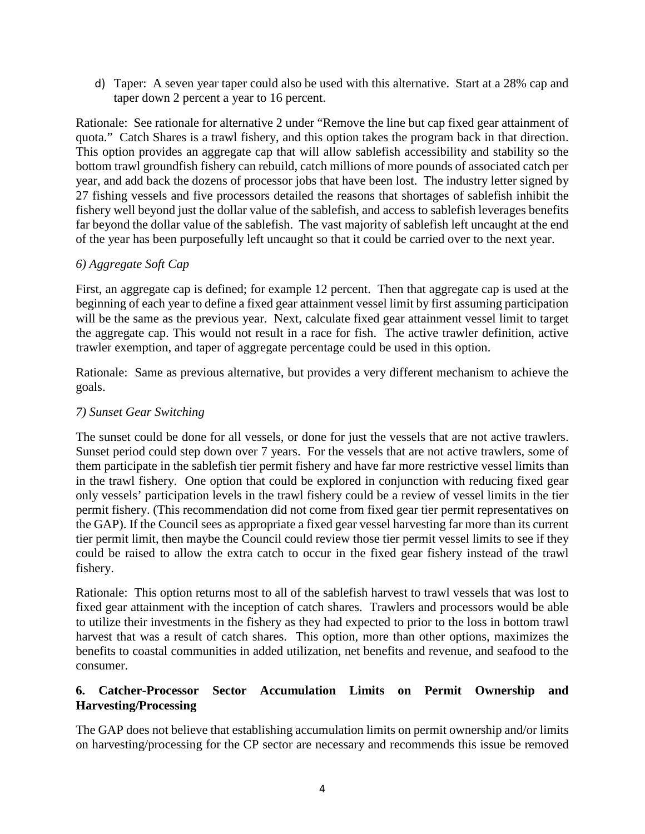d) Taper: A seven year taper could also be used with this alternative. Start at a 28% cap and taper down 2 percent a year to 16 percent.

Rationale: See rationale for alternative 2 under "Remove the line but cap fixed gear attainment of quota." Catch Shares is a trawl fishery, and this option takes the program back in that direction. This option provides an aggregate cap that will allow sablefish accessibility and stability so the bottom trawl groundfish fishery can rebuild, catch millions of more pounds of associated catch per year, and add back the dozens of processor jobs that have been lost. The industry letter signed by 27 fishing vessels and five processors detailed the reasons that shortages of sablefish inhibit the fishery well beyond just the dollar value of the sablefish, and access to sablefish leverages benefits far beyond the dollar value of the sablefish. The vast majority of sablefish left uncaught at the end of the year has been purposefully left uncaught so that it could be carried over to the next year.

### *6) Aggregate Soft Cap*

First, an aggregate cap is defined; for example 12 percent. Then that aggregate cap is used at the beginning of each year to define a fixed gear attainment vessel limit by first assuming participation will be the same as the previous year. Next, calculate fixed gear attainment vessel limit to target the aggregate cap. This would not result in a race for fish. The active trawler definition, active trawler exemption, and taper of aggregate percentage could be used in this option.

Rationale: Same as previous alternative, but provides a very different mechanism to achieve the goals.

#### *7) Sunset Gear Switching*

The sunset could be done for all vessels, or done for just the vessels that are not active trawlers. Sunset period could step down over 7 years. For the vessels that are not active trawlers, some of them participate in the sablefish tier permit fishery and have far more restrictive vessel limits than in the trawl fishery. One option that could be explored in conjunction with reducing fixed gear only vessels' participation levels in the trawl fishery could be a review of vessel limits in the tier permit fishery. (This recommendation did not come from fixed gear tier permit representatives on the GAP). If the Council sees as appropriate a fixed gear vessel harvesting far more than its current tier permit limit, then maybe the Council could review those tier permit vessel limits to see if they could be raised to allow the extra catch to occur in the fixed gear fishery instead of the trawl fishery.

Rationale: This option returns most to all of the sablefish harvest to trawl vessels that was lost to fixed gear attainment with the inception of catch shares. Trawlers and processors would be able to utilize their investments in the fishery as they had expected to prior to the loss in bottom trawl harvest that was a result of catch shares. This option, more than other options, maximizes the benefits to coastal communities in added utilization, net benefits and revenue, and seafood to the consumer.

# **6. Catcher-Processor Sector Accumulation Limits on Permit Ownership and Harvesting/Processing**

The GAP does not believe that establishing accumulation limits on permit ownership and/or limits on harvesting/processing for the CP sector are necessary and recommends this issue be removed